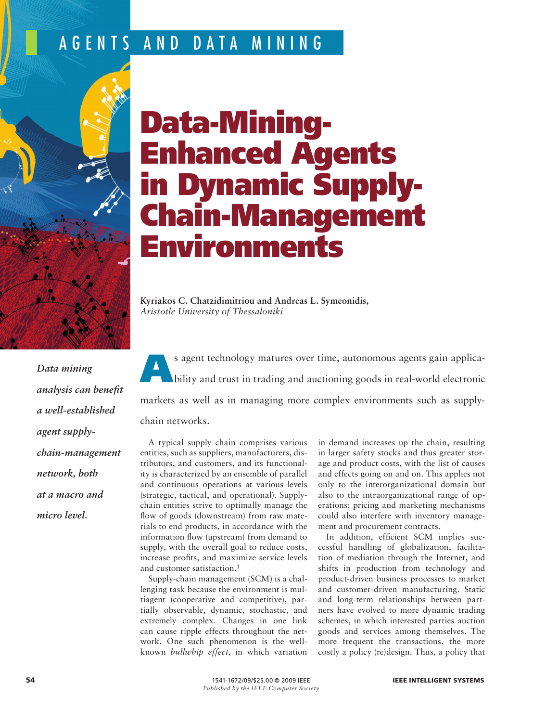## AGENTS AND DATA MINING



*Data mining analysis can benefit a well-established agent supplychain-management network, both at a macro and micro level.* 

# Data-Mining-Enhanced Agents **Dynamic Supply-**Chain-Management Environme

**Kyriakos C. Chatzidimitriou and Andreas L. Symeonidis,**  *Aristotle University of Thessaloniki*

s agent technology matures over time, autonomous agents gain applica-<br>bility and trust in trading and auctioning goods in real-world electronic markets as well as in managing more complex environments such as supplychain networks.

A typical supply chain comprises various entities, such as suppliers, manufacturers, distributors, and customers, and its functionality is characterized by an ensemble of parallel and continuous operations at various levels (strategic, tactical, and operational). Supplychain entities strive to optimally manage the flow of goods (downstream) from raw materials to end products, in accordance with the information flow (upstream) from demand to supply, with the overall goal to reduce costs, increase profits, and maximize service levels and customer satisfaction.<sup>1</sup>

Supply-chain management (SCM) is a challenging task because the environment is multiagent (cooperative and competitive), partially observable, dynamic, stochastic, and extremely complex. Changes in one link can cause ripple effects throughout the network. One such phenomenon is the wellknown *bullwhip effect*, in which variation in demand increases up the chain, resulting in larger safety stocks and thus greater storage and product costs, with the list of causes and effects going on and on. This applies not only to the interorganizational domain but also to the intraorganizational range of operations; pricing and marketing mechanisms could also interfere with inventory management and procurement contracts.

In addition, efficient SCM implies successful handling of globalization, facilitation of mediation through the Internet, and shifts in production from technology and product-driven business processes to market and customer-driven manufacturing. Static and long-term relationships between partners have evolved to more dynamic trading schemes, in which interested parties auction goods and services among themselves. The more frequent the transactions, the more costly a policy (re)design. Thus, a policy that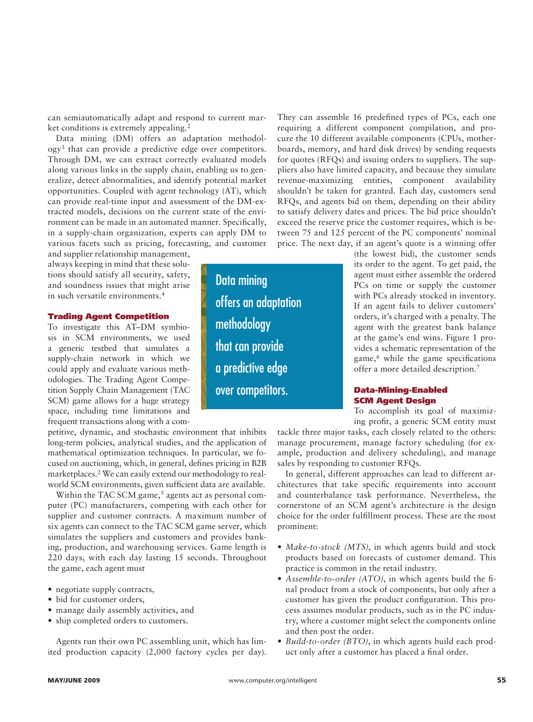can semiautomatically adapt and respond to current market conditions is extremely appealing.<sup>2</sup>

Data mining (DM) offers an adaptation methodology3 that can provide a predictive edge over competitors. Through DM, we can extract correctly evaluated models along various links in the supply chain, enabling us to generalize, detect abnormalities, and identify potential market opportunities. Coupled with agent technology (AT), which can provide real-time input and assessment of the DM-extracted models, decisions on the current state of the environment can be made in an automated manner. Specifically, in a supply-chain organization, experts can apply DM to various facets such as pricing, forecasting, and customer

and supplier relationship management, always keeping in mind that these solutions should satisfy all security, safety, and soundness issues that might arise in such versatile environments.4

## Trading Agent Competition

To investigate this AT–DM symbiosis in SCM environments, we used a generic testbed that simulates a supply-chain network in which we could apply and evaluate various methodologies. The Trading Agent Competition Supply Chain Management (TAC SCM) game allows for a huge strategy space, including time limitations and frequent transactions along with a com-

petitive, dynamic, and stochastic environment that inhibits long-term policies, analytical studies, and the application of mathematical optimization techniques. In particular, we focused on auctioning, which, in general, defines pricing in B2B marketplaces.<sup>2</sup> We can easily extend our methodology to realworld SCM environments, given sufficient data are available.

Within the TAC SCM game,<sup>5</sup> agents act as personal computer (PC) manufacturers, competing with each other for supplier and customer contracts. A maximum number of six agents can connect to the TAC SCM game server, which simulates the suppliers and customers and provides banking, production, and warehousing services. Game length is 220 days, with each day lasting 15 seconds. Throughout the game, each agent must

- negotiate supply contracts,
- bid for customer orders.
- manage daily assembly activities, and
- ship completed orders to customers.

Agents run their own PC assembling unit, which has limited production capacity (2,000 factory cycles per day).

Data mining offers an adaptation methodology that can provide a predictive edge over competitors.

They can assemble 16 predefined types of PCs, each one requiring a different component compilation, and procure the 10 different available components (CPUs, motherboards, memory, and hard disk drives) by sending requests for quotes (RFQs) and issuing orders to suppliers. The suppliers also have limited capacity, and because they simulate revenue-maximizing entities, component availability shouldn't be taken for granted. Each day, customers send RFQs, and agents bid on them, depending on their ability to satisfy delivery dates and prices. The bid price shouldn't exceed the reserve price the customer requires, which is between 75 and 125 percent of the PC components' nominal price. The next day, if an agent's quote is a winning offer

(the lowest bid), the customer sends its order to the agent. To get paid, the agent must either assemble the ordered PCs on time or supply the customer with PCs already stocked in inventory. If an agent fails to deliver customers' orders, it's charged with a penalty. The agent with the greatest bank balance at the game's end wins. Figure 1 provides a schematic representation of the game, $6$  while the game specifications offer a more detailed description.7

## Data-Mining-Enabled SCM Agent Design

To accomplish its goal of maximizing profit, a generic SCM entity must

tackle three major tasks, each closely related to the others: manage procurement, manage factory scheduling (for example, production and delivery scheduling), and manage sales by responding to customer RFQs.

In general, different approaches can lead to different architectures that take specific requirements into account and counterbalance task performance. Nevertheless, the cornerstone of an SCM agent's architecture is the design choice for the order fulfillment process. These are the most prominent:

- *Make-to-stock (MTS)*, in which agents build and stock products based on forecasts of customer demand. This practice is common in the retail industry.
- Assemble-to-order (ATO), in which agents build the final product from a stock of components, but only after a customer has given the product configuration. This process assumes modular products, such as in the PC industry, where a customer might select the components online and then post the order.
- *• Build-to-order (BTO)*, in which agents build each product only after a customer has placed a final order.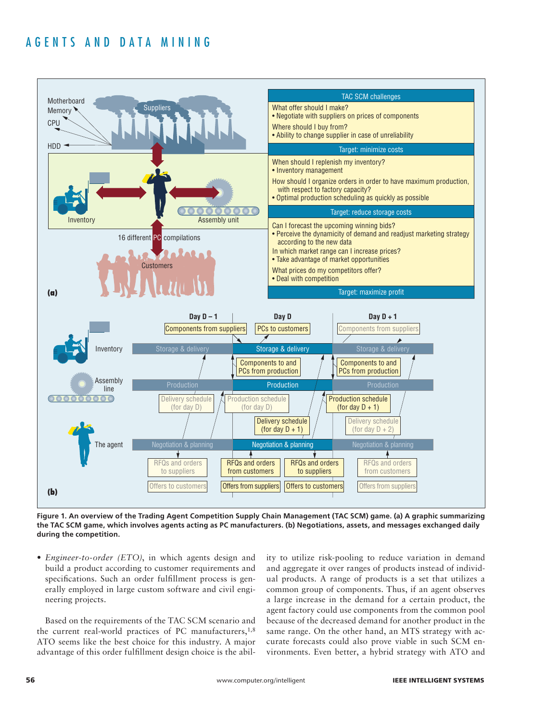

**Figure 1. An overview of the Trading Agent Competition Supply Chain Management (TAC SCM) game. (a) A graphic summarizing the TAC SCM game, which involves agents acting as PC manufacturers. (b) Negotiations, assets, and messages exchanged daily during the competition.**

*• Engineer-to-order (ETO)*, in which agents design and build a product according to customer requirements and specifications. Such an order fulfillment process is generally employed in large custom software and civil engineering projects.

Based on the requirements of the TAC SCM scenario and the current real-world practices of PC manufacturers,  $1,8$ ATO seems like the best choice for this industry. A major advantage of this order fulfillment design choice is the ability to utilize risk-pooling to reduce variation in demand and aggregate it over ranges of products instead of individual products. A range of products is a set that utilizes a common group of components. Thus, if an agent observes a large increase in the demand for a certain product, the agent factory could use components from the common pool because of the decreased demand for another product in the same range. On the other hand, an MTS strategy with accurate forecasts could also prove viable in such SCM environments. Even better, a hybrid strategy with ATO and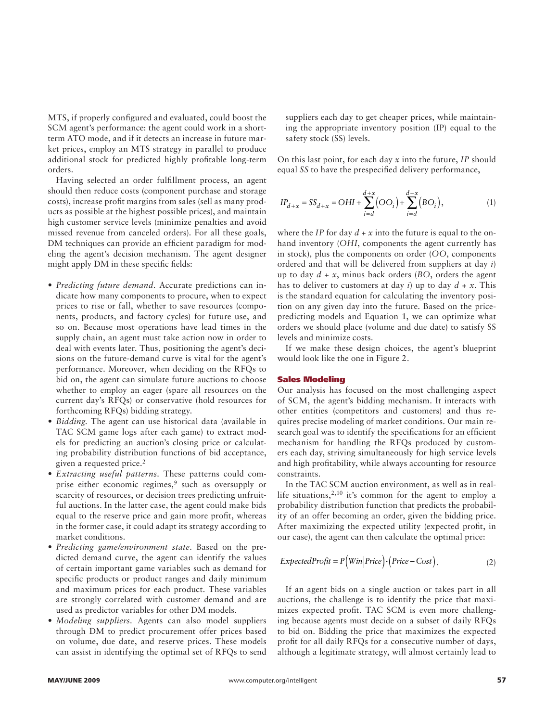MTS, if properly configured and evaluated, could boost the SCM agent's performance: the agent could work in a shortterm ATO mode, and if it detects an increase in future market prices, employ an MTS strategy in parallel to produce additional stock for predicted highly profitable long-term orders.

Having selected an order fulfillment process, an agent should then reduce costs (component purchase and storage costs), increase profit margins from sales (sell as many products as possible at the highest possible prices), and maintain high customer service levels (minimize penalties and avoid missed revenue from canceled orders). For all these goals, DM techniques can provide an efficient paradigm for modeling the agent's decision mechanism. The agent designer might apply DM in these specific fields:

- *• Predicting future demand.* Accurate predictions can indicate how many components to procure, when to expect prices to rise or fall, whether to save resources (components, products, and factory cycles) for future use, and so on. Because most operations have lead times in the supply chain, an agent must take action now in order to deal with events later. Thus, positioning the agent's decisions on the future-demand curve is vital for the agent's performance. Moreover, when deciding on the RFQs to bid on, the agent can simulate future auctions to choose whether to employ an eager (spare all resources on the current day's RFQs) or conservative (hold resources for forthcoming RFQs) bidding strategy.
- *• Bidding.* The agent can use historical data (available in TAC SCM game logs after each game) to extract models for predicting an auction's closing price or calculating probability distribution functions of bid acceptance, given a requested price.2
- *• Extracting useful patterns.* These patterns could comprise either economic regimes,<sup>9</sup> such as oversupply or scarcity of resources, or decision trees predicting unfruitful auctions. In the latter case, the agent could make bids equal to the reserve price and gain more profit, whereas in the former case, it could adapt its strategy according to market conditions.
- *• Predicting game/environment state.* Based on the predicted demand curve, the agent can identify the values of certain important game variables such as demand for specific products or product ranges and daily minimum and maximum prices for each product. These variables are strongly correlated with customer demand and are used as predictor variables for other DM models.
- *• Modeling suppliers.* Agents can also model suppliers through DM to predict procurement offer prices based on volume, due date, and reserve prices. These models can assist in identifying the optimal set of RFQs to send

suppliers each day to get cheaper prices, while maintaining the appropriate inventory position (IP) equal to the safety stock (SS) levels.

On this last point, for each day *x* into the future, *IP* should equal *SS* to have the prespecified delivery performance,

$$
IP_{d+x} = SS_{d+x} = OHI + \sum_{i=d}^{d+x} (OO_i) + \sum_{i=d}^{d+x} (BO_i),
$$
 (1)

where the *IP* for day  $d + x$  into the future is equal to the onhand inventory (*OHI*, components the agent currently has in stock), plus the components on order (*OO*, components ordered and that will be delivered from suppliers at day *i*) up to day  $d + x$ , minus back orders (*BO*, orders the agent has to deliver to customers at day *i*) up to day  $d + x$ . This is the standard equation for calculating the inventory position on any given day into the future. Based on the pricepredicting models and Equation 1, we can optimize what orders we should place (volume and due date) to satisfy SS levels and minimize costs.

If we make these design choices, the agent's blueprint would look like the one in Figure 2.

## Sales Modeling

Our analysis has focused on the most challenging aspect of SCM, the agent's bidding mechanism. It interacts with other entities (competitors and customers) and thus requires precise modeling of market conditions. Our main research goal was to identify the specifications for an efficient mechanism for handling the RFQs produced by customers each day, striving simultaneously for high service levels and high profitability, while always accounting for resource constraints.

In the TAC SCM auction environment, as well as in reallife situations, $2,10$  it's common for the agent to employ a probability distribution function that predicts the probability of an offer becoming an order, given the bidding price. After maximizing the expected utility (expected profit, in our case), the agent can then calculate the optimal price:

$$
ExpectedProfit = P(Win|Price) \cdot (Price - Cost).
$$
 (2)

If an agent bids on a single auction or takes part in all auctions, the challenge is to identify the price that maximizes expected profit. TAC SCM is even more challenging because agents must decide on a subset of daily RFQs to bid on. Bidding the price that maximizes the expected profit for all daily RFQs for a consecutive number of days, although a legitimate strategy, will almost certainly lead to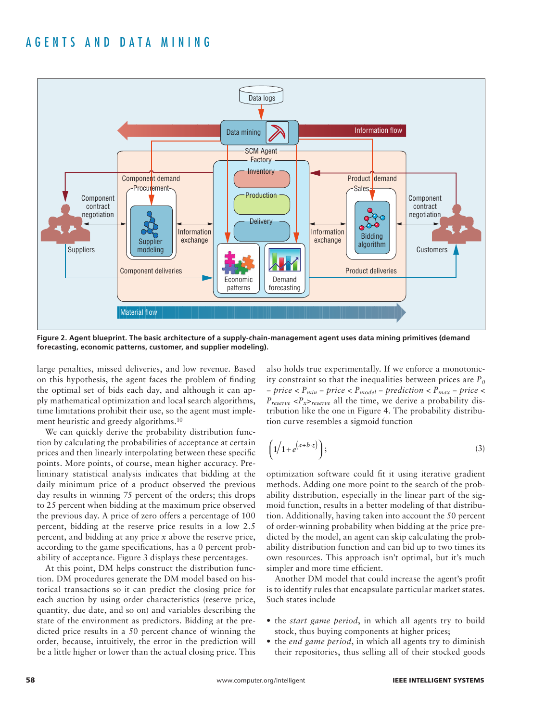

**Figure 2. Agent blueprint. The basic architecture of a supply-chain-management agent uses data mining primitives (demand forecasting, economic patterns, customer, and supplier modeling).**

large penalties, missed deliveries, and low revenue. Based on this hypothesis, the agent faces the problem of finding the optimal set of bids each day, and although it can apply mathematical optimization and local search algorithms, time limitations prohibit their use, so the agent must implement heuristic and greedy algorithms.10

We can quickly derive the probability distribution function by calculating the probabilities of acceptance at certain prices and then linearly interpolating between these specific points. More points, of course, mean higher accuracy. Preliminary statistical analysis indicates that bidding at the daily minimum price of a product observed the previous day results in winning 75 percent of the orders; this drops to 25 percent when bidding at the maximum price observed the previous day. A price of zero offers a percentage of 100 percent, bidding at the reserve price results in a low 2.5 percent, and bidding at any price *x* above the reserve price, according to the game specifications, has a 0 percent probability of acceptance. Figure 3 displays these percentages.

At this point, DM helps construct the distribution function. DM procedures generate the DM model based on historical transactions so it can predict the closing price for each auction by using order characteristics (reserve price, quantity, due date, and so on) and variables describing the state of the environment as predictors. Bidding at the predicted price results in a 50 percent chance of winning the order, because, intuitively, the error in the prediction will be a little higher or lower than the actual closing price. This

also holds true experimentally. If we enforce a monotonicity constraint so that the inequalities between prices are  $P_0$ − *price* < *Pmin* − *price* < *Pmodel* − *prediction* < *Pmax* − *price* <  $P_{\text{reserve}} < P_{\text{x} > \text{reserve}}$  all the time, we derive a probability distribution like the one in Figure 4. The probability distribution curve resembles a sigmoid function

$$
\left(1/1+e^{(a+b\cdot z)}\right);
$$
\n(3)

optimization software could fit it using iterative gradient methods. Adding one more point to the search of the probability distribution, especially in the linear part of the sigmoid function, results in a better modeling of that distribution. Additionally, having taken into account the 50 percent of order-winning probability when bidding at the price predicted by the model, an agent can skip calculating the probability distribution function and can bid up to two times its own resources. This approach isn't optimal, but it's much simpler and more time efficient.

Another DM model that could increase the agent's profit is to identify rules that encapsulate particular market states. Such states include

- the *start game period*, in which all agents try to build stock, thus buying components at higher prices;
- the *end game period*, in which all agents try to diminish their repositories, thus selling all of their stocked goods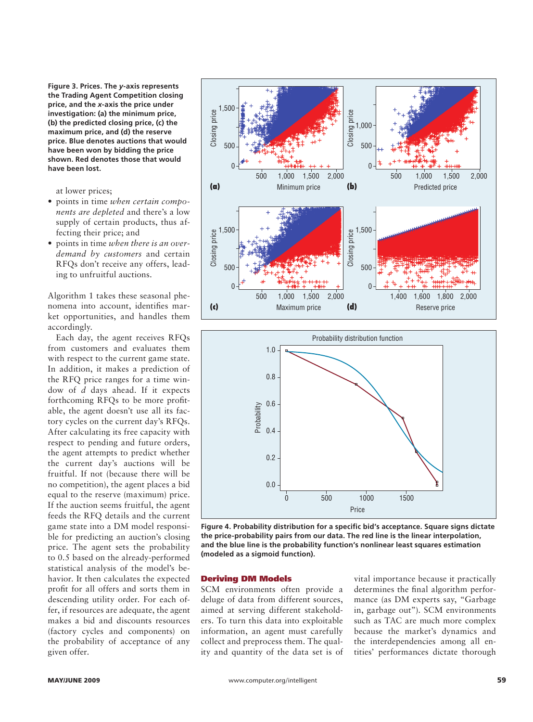**Figure 3. Prices. The** *y***-axis represents the Trading Agent Competition closing price, and the** *x***-axis the price under investigation: (a) the minimum price, (b) the predicted closing price, (c) the maximum price, and (d) the reserve price. Blue denotes auctions that would have been won by bidding the price shown. Red denotes those that would have been lost.**

at lower prices;

- • points in time *when certain components are depleted* and there's a low supply of certain products, thus affecting their price; and
- • points in time *when there is an overdemand by customers* and certain RFQs don't receive any offers, leading to unfruitful auctions.

Algorithm 1 takes these seasonal phenomena into account, identifies market opportunities, and handles them accordingly.

Each day, the agent receives RFQs from customers and evaluates them with respect to the current game state. In addition, it makes a prediction of the RFQ price ranges for a time window of *d* days ahead. If it expects forthcoming RFQs to be more profitable, the agent doesn't use all its factory cycles on the current day's RFQs. After calculating its free capacity with respect to pending and future orders, the agent attempts to predict whether the current day's auctions will be fruitful. If not (because there will be no competition), the agent places a bid equal to the reserve (maximum) price. If the auction seems fruitful, the agent feeds the RFQ details and the current game state into a DM model responsible for predicting an auction's closing price. The agent sets the probability to 0.5 based on the already-performed statistical analysis of the model's behavior. It then calculates the expected profit for all offers and sorts them in descending utility order. For each offer, if resources are adequate, the agent makes a bid and discounts resources (factory cycles and components) on the probability of acceptance of any given offer.





**Figure 4. Probability distribution for a specific bid's acceptance. Square signs dictate the price-probability pairs from our data. The red line is the linear interpolation, and the blue line is the probability function's nonlinear least squares estimation (modeled as a sigmoid function).**

## Deriving DM Models

SCM environments often provide a deluge of data from different sources, aimed at serving different stakeholders. To turn this data into exploitable information, an agent must carefully collect and preprocess them. The quality and quantity of the data set is of

vital importance because it practically determines the final algorithm performance (as DM experts say, "Garbage in, garbage out"). SCM environments such as TAC are much more complex because the market's dynamics and the interdependencies among all entities' performances dictate thorough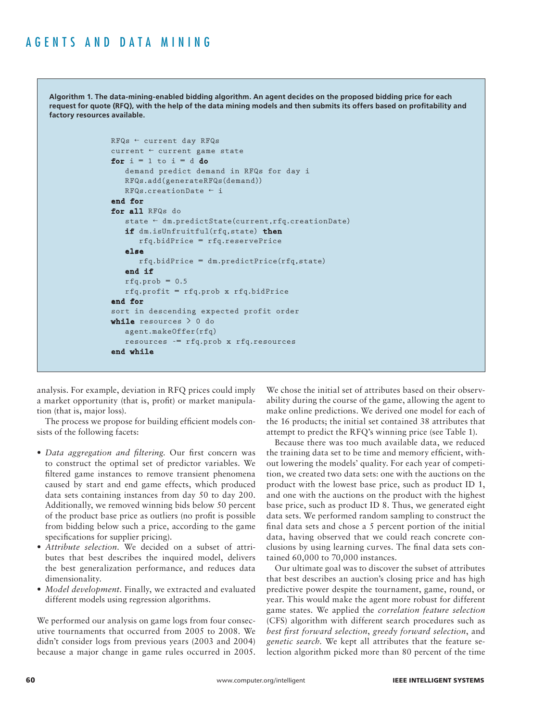**Algorithm 1. The data-mining-enabled bidding algorithm. An agent decides on the proposed bidding price for each request for quote (RFQ), with the help of the data mining models and then submits its offers based on profitability and factory resources available.**

```
RFQs ← current day RFQs
current ← current game state
for i = 1 to i = d do
    demand predict demand in RFQs for day i
    RFQs.add(generateRFQs(demand))
    RFQs.creationDate ← i
end for
for all RFQs do
    state ← dm.predictState(current,rfq.creationDate)
   if dm.isUnfruitful(rfq, state) then
       rfq.bidPrice = rfq.reservePrice
    else
       rfq.bidPrice = dm.predictPrice(rfq,state)
    end if
   rfq.prob = 0.5 rfq.profit = rfq.prob x rfq.bidPrice
end for
sort in descending expected profit order
while resources > 0 do
    agent.makeOffer(rfq)
    resources -= rfq.prob x rfq.resources
end while
```
analysis. For example, deviation in RFQ prices could imply a market opportunity (that is, profit) or market manipulation (that is, major loss).

The process we propose for building efficient models consists of the following facets:

- *• Data aggregation and filtering*. Our first concern was to construct the optimal set of predictor variables. We filtered game instances to remove transient phenomena caused by start and end game effects, which produced data sets containing instances from day 50 to day 200. Additionally, we removed winning bids below 50 percent of the product base price as outliers (no profit is possible from bidding below such a price, according to the game specifications for supplier pricing).
- *• Attribute selection*. We decided on a subset of attributes that best describes the inquired model, delivers the best generalization performance, and reduces data dimensionality.
- *Model development*. Finally, we extracted and evaluated different models using regression algorithms.

We performed our analysis on game logs from four consecutive tournaments that occurred from 2005 to 2008. We didn't consider logs from previous years (2003 and 2004) because a major change in game rules occurred in 2005.

We chose the initial set of attributes based on their observability during the course of the game, allowing the agent to make online predictions. We derived one model for each of the 16 products; the initial set contained 38 attributes that attempt to predict the RFQ's winning price (see Table 1).

Because there was too much available data, we reduced the training data set to be time and memory efficient, without lowering the models' quality. For each year of competition, we created two data sets: one with the auctions on the product with the lowest base price, such as product ID 1, and one with the auctions on the product with the highest base price, such as product ID 8. Thus, we generated eight data sets. We performed random sampling to construct the final data sets and chose a 5 percent portion of the initial data, having observed that we could reach concrete conclusions by using learning curves. The final data sets contained 60,000 to 70,000 instances.

Our ultimate goal was to discover the subset of attributes that best describes an auction's closing price and has high predictive power despite the tournament, game, round, or year. This would make the agent more robust for different game states. We applied the *correlation feature selection*  (CFS) algorithm with different search procedures such as *best first forward selection*, *greedy forward selection*, and *genetic search*. We kept all attributes that the feature selection algorithm picked more than 80 percent of the time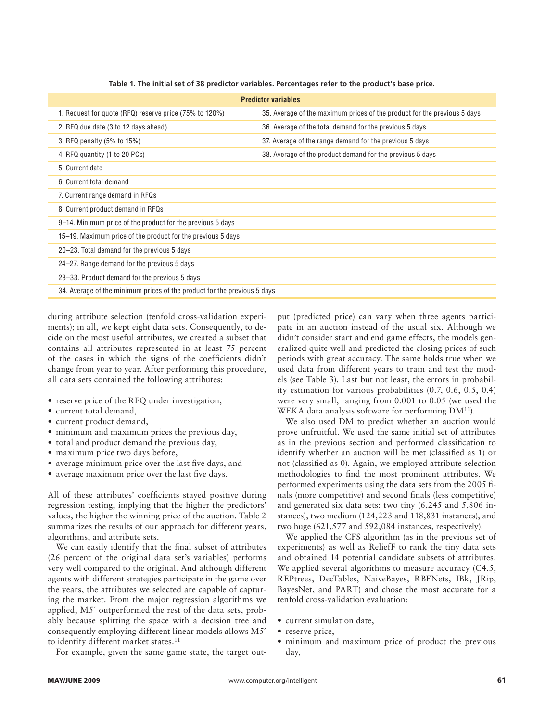**Table 1. The initial set of 38 predictor variables. Percentages refer to the product's base price.**

| <b>Predictor variables</b>                                               |                                                                          |  |  |  |  |
|--------------------------------------------------------------------------|--------------------------------------------------------------------------|--|--|--|--|
| 1. Request for quote (RFQ) reserve price (75% to 120%)                   | 35. Average of the maximum prices of the product for the previous 5 days |  |  |  |  |
| 2. RFQ due date (3 to 12 days ahead)                                     | 36. Average of the total demand for the previous 5 days                  |  |  |  |  |
| 3. RFQ penalty $(5\% \text{ to } 15\%)$                                  | 37. Average of the range demand for the previous 5 days                  |  |  |  |  |
| 4. RFQ quantity (1 to 20 PCs)                                            | 38. Average of the product demand for the previous 5 days                |  |  |  |  |
| 5. Current date                                                          |                                                                          |  |  |  |  |
| 6. Current total demand                                                  |                                                                          |  |  |  |  |
| 7. Current range demand in RFQs                                          |                                                                          |  |  |  |  |
| 8. Current product demand in RFQs                                        |                                                                          |  |  |  |  |
| 9–14. Minimum price of the product for the previous 5 days               |                                                                          |  |  |  |  |
| 15–19. Maximum price of the product for the previous 5 days              |                                                                          |  |  |  |  |
| 20–23. Total demand for the previous 5 days                              |                                                                          |  |  |  |  |
| 24–27. Range demand for the previous 5 days                              |                                                                          |  |  |  |  |
| 28–33. Product demand for the previous 5 days                            |                                                                          |  |  |  |  |
| 34. Average of the minimum prices of the product for the previous 5 days |                                                                          |  |  |  |  |

during attribute selection (tenfold cross-validation experiments); in all, we kept eight data sets. Consequently, to decide on the most useful attributes, we created a subset that contains all attributes represented in at least 75 percent of the cases in which the signs of the coefficients didn't change from year to year. After performing this procedure, all data sets contained the following attributes:

- reserve price of the RFQ under investigation,
- current total demand,
- current product demand,
- • minimum and maximum prices the previous day,
- total and product demand the previous day,
- maximum price two days before,
- average minimum price over the last five days, and
- average maximum price over the last five days.

All of these attributes' coefficients stayed positive during regression testing, implying that the higher the predictors' values, the higher the winning price of the auction. Table 2 summarizes the results of our approach for different years, algorithms, and attribute sets.

We can easily identify that the final subset of attributes (26 percent of the original data set's variables) performs very well compared to the original. And although different agents with different strategies participate in the game over the years, the attributes we selected are capable of capturing the market. From the major regression algorithms we applied, M5<sup>'</sup> outperformed the rest of the data sets, probably because splitting the space with a decision tree and consequently employing different linear models allows M5 to identify different market states.<sup>11</sup>

put (predicted price) can vary when three agents participate in an auction instead of the usual six. Although we didn't consider start and end game effects, the models generalized quite well and predicted the closing prices of such periods with great accuracy. The same holds true when we used data from different years to train and test the models (see Table 3). Last but not least, the errors in probability estimation for various probabilities (0.7, 0.6, 0.5, 0.4) were very small, ranging from 0.001 to 0.05 (we used the WEKA data analysis software for performing  $DM<sup>11</sup>$ .

We also used DM to predict whether an auction would prove unfruitful. We used the same initial set of attributes as in the previous section and performed classification to identify whether an auction will be met (classified as 1) or not (classified as 0). Again, we employed attribute selection methodologies to find the most prominent attributes. We performed experiments using the data sets from the 2005 finals (more competitive) and second finals (less competitive) and generated six data sets: two tiny (6,245 and 5,806 instances), two medium (124,223 and 118,831 instances), and two huge (621,577 and 592,084 instances, respectively).

We applied the CFS algorithm (as in the previous set of experiments) as well as ReliefF to rank the tiny data sets and obtained 14 potential candidate subsets of attributes. We applied several algorithms to measure accuracy (C4.5, REPtrees, DecTables, NaiveBayes, RBFNets, IBk, JRip, BayesNet, and PART) and chose the most accurate for a tenfold cross-validation evaluation:

- current simulation date,
- reserve price,
- minimum and maximum price of product the previous day,

For example, given the same game state, the target out-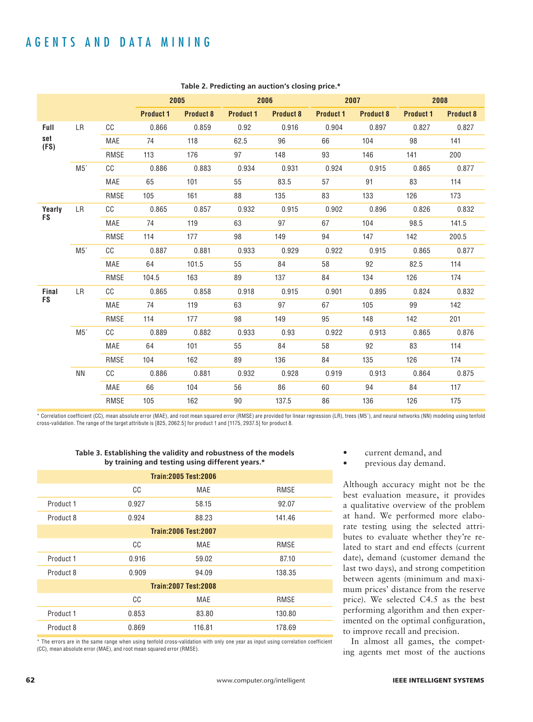## AGENTS AND DATA MINING

|                     |           |             |                  | 2005             | 2006             |                  | 2007             |                  | 2008             |                  |
|---------------------|-----------|-------------|------------------|------------------|------------------|------------------|------------------|------------------|------------------|------------------|
|                     |           |             | <b>Product 1</b> | <b>Product 8</b> | <b>Product 1</b> | <b>Product 8</b> | <b>Product 1</b> | <b>Product 8</b> | <b>Product 1</b> | <b>Product 8</b> |
| Full<br>set<br>(FS) | LR.       | cc          | 0.866            | 0.859            | 0.92             | 0.916            | 0.904            | 0.897            | 0.827            | 0.827            |
|                     |           | MAE         | 74               | 118              | 62.5             | 96               | 66               | 104              | 98               | 141              |
|                     |           | <b>RMSE</b> | 113              | 176              | 97               | 148              | 93               | 146              | 141              | 200              |
|                     | M5'       | СC          | 0.886            | 0.883            | 0.934            | 0.931            | 0.924            | 0.915            | 0.865            | 0.877            |
|                     |           | MAE         | 65               | 101              | 55               | 83.5             | 57               | 91               | 83               | 114              |
|                     |           | RMSE        | 105              | 161              | 88               | 135              | 83               | 133              | 126              | 173              |
| Yearly<br><b>FS</b> | <b>LR</b> | cc          | 0.865            | 0.857            | 0.932            | 0.915            | 0.902            | 0.896            | 0.826            | 0.832            |
|                     |           | MAE         | 74               | 119              | 63               | 97               | 67               | 104              | 98.5             | 141.5            |
|                     |           | RMSE        | 114              | 177              | 98               | 149              | 94               | 147              | 142              | 200.5            |
|                     | M5'       | cc          | 0.887            | 0.881            | 0.933            | 0.929            | 0.922            | 0.915            | 0.865            | 0.877            |
|                     |           | MAE         | 64               | 101.5            | 55               | 84               | 58               | 92               | 82.5             | 114              |
|                     |           | <b>RMSE</b> | 104.5            | 163              | 89               | 137              | 84               | 134              | 126              | 174              |
| Final<br>FS         | <b>LR</b> | CC          | 0.865            | 0.858            | 0.918            | 0.915            | 0.901            | 0.895            | 0.824            | 0.832            |
|                     |           | MAE         | 74               | 119              | 63               | 97               | 67               | 105              | 99               | 142              |
|                     |           | RMSE        | 114              | 177              | 98               | 149              | 95               | 148              | 142              | 201              |
|                     | M5'       | <b>CC</b>   | 0.889            | 0.882            | 0.933            | 0.93             | 0.922            | 0.913            | 0.865            | 0.876            |
|                     |           | MAE         | 64               | 101              | 55               | 84               | 58               | 92               | 83               | 114              |
|                     |           | <b>RMSE</b> | 104              | 162              | 89               | 136              | 84               | 135              | 126              | 174              |
|                     | <b>NN</b> | cc          | 0.886            | 0.881            | 0.932            | 0.928            | 0.919            | 0.913            | 0.864            | 0.875            |
|                     |           | MAE         | 66               | 104              | 56               | 86               | 60               | 94               | 84               | 117              |
|                     |           | <b>RMSE</b> | 105              | 162              | 90               | 137.5            | 86               | 136              | 126              | 175              |

### **Table 2. Predicting an auction's closing price.\***

\* Correlation coefficient (CC), mean absolute error (MAE), and root mean squared error (RMSE) are provided for linear regression (LR), trees (M5´), and neural networks (NN) modeling using tenfold cross-validation. The range of the target attribute is [825, 2062.5] for product 1 and [1175, 2937.5] for product 8.

### **Table 3. Establishing the validity and robustness of the models by training and testing using different years.\***

| <b>Train:2005 Test:2006</b> |       |            |             |  |  |  |  |
|-----------------------------|-------|------------|-------------|--|--|--|--|
| CC<br>MAE<br><b>RMSE</b>    |       |            |             |  |  |  |  |
| Product 1                   | 0.927 | 58.15      | 92.07       |  |  |  |  |
| Product 8                   | 0.924 | 88.23      | 141.46      |  |  |  |  |
| <b>Train:2006 Test:2007</b> |       |            |             |  |  |  |  |
|                             | CC    | MAE        | <b>RMSE</b> |  |  |  |  |
| Product 1                   | 0.916 | 59.02      | 87.10       |  |  |  |  |
| Product 8                   | 0.909 | 94.09      | 138.35      |  |  |  |  |
| <b>Train:2007 Test:2008</b> |       |            |             |  |  |  |  |
|                             | CC    | <b>MAE</b> | RMSE        |  |  |  |  |
| Product 1                   | 0.853 | 83.80      | 130.80      |  |  |  |  |
| Product 8                   | 0.869 | 116.81     | 178.69      |  |  |  |  |

\* The errors are in the same range when using tenfold cross-validation with only one year as input using correlation coefficient (CC), mean absolute error (MAE), and root mean squared error (RMSE).

- • current demand, and
- previous day demand.

Although accuracy might not be the best evaluation measure, it provides a qualitative overview of the problem at hand. We performed more elaborate testing using the selected attributes to evaluate whether they're related to start and end effects (current date), demand (customer demand the last two days), and strong competition between agents (minimum and maximum prices' distance from the reserve price). We selected C4.5 as the best performing algorithm and then experimented on the optimal configuration, to improve recall and precision.

In almost all games, the competing agents met most of the auctions